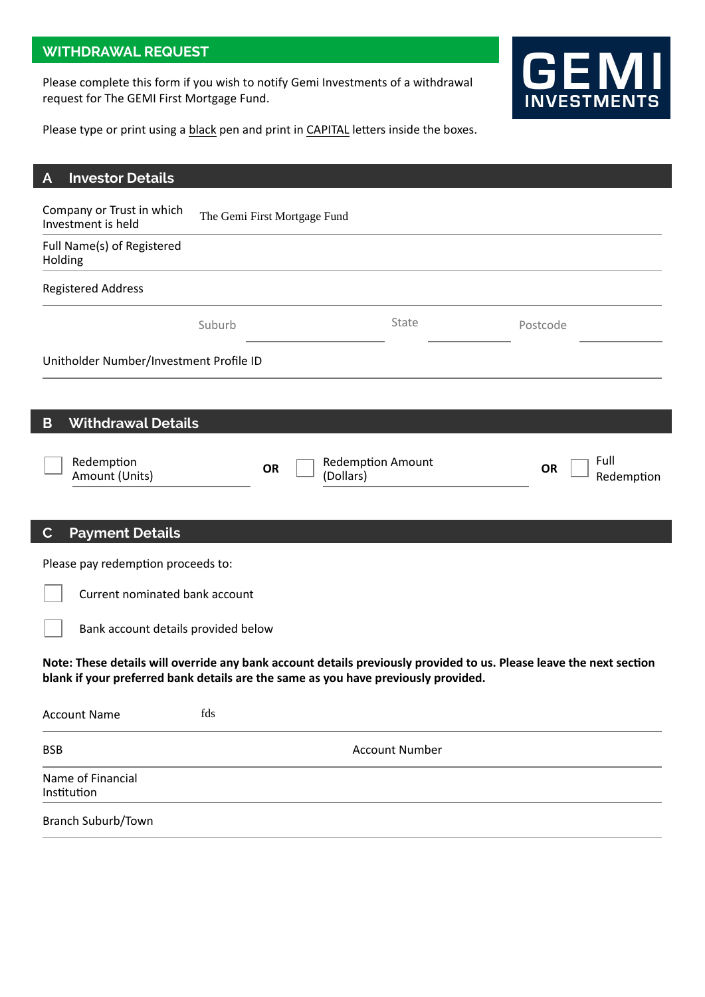# **WITHDRAWAL REQUEST**

Please complete this form if you wish to notify Gemi Investments of a withdrawal request for The GEMI First Mortgage Fund.



Please type or print using a black pen and print in CAPITAL letters inside the boxes.

| <b>Investor Details</b><br>A                    |                                         |                              |                                                                                    |                                                                                                                     |
|-------------------------------------------------|-----------------------------------------|------------------------------|------------------------------------------------------------------------------------|---------------------------------------------------------------------------------------------------------------------|
| Company or Trust in which<br>Investment is held |                                         | The Gemi First Mortgage Fund |                                                                                    |                                                                                                                     |
| Full Name(s) of Registered<br>Holding           |                                         |                              |                                                                                    |                                                                                                                     |
| <b>Registered Address</b>                       |                                         |                              |                                                                                    |                                                                                                                     |
|                                                 | Suburb                                  |                              | State                                                                              | Postcode                                                                                                            |
|                                                 | Unitholder Number/Investment Profile ID |                              |                                                                                    |                                                                                                                     |
|                                                 |                                         |                              |                                                                                    |                                                                                                                     |
| B                                               | <b>Withdrawal Details</b>               |                              |                                                                                    |                                                                                                                     |
| Redemption<br>Amount (Units)                    |                                         | <b>OR</b>                    | <b>Redemption Amount</b><br>(Dollars)                                              | Full<br><b>OR</b><br>Redemption                                                                                     |
|                                                 |                                         |                              |                                                                                    |                                                                                                                     |
| <b>Payment Details</b><br>$\mathbf C$           |                                         |                              |                                                                                    |                                                                                                                     |
|                                                 | Please pay redemption proceeds to:      |                              |                                                                                    |                                                                                                                     |
| Current nominated bank account                  |                                         |                              |                                                                                    |                                                                                                                     |
| Bank account details provided below             |                                         |                              |                                                                                    |                                                                                                                     |
|                                                 |                                         |                              | blank if your preferred bank details are the same as you have previously provided. | Note: These details will override any bank account details previously provided to us. Please leave the next section |
| <b>Account Name</b>                             | fds                                     |                              |                                                                                    |                                                                                                                     |
| <b>BSB</b>                                      |                                         |                              | <b>Account Number</b>                                                              |                                                                                                                     |
| Name of Financial<br>Institution                |                                         |                              |                                                                                    |                                                                                                                     |
| Branch Suburb/Town                              |                                         |                              |                                                                                    |                                                                                                                     |